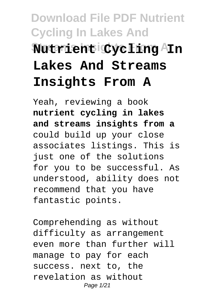# **Download File PDF Nutrient Cycling In Lakes And Streams Insights From A Nutrient Cycling In Lakes And Streams Insights From A**

Yeah, reviewing a book **nutrient cycling in lakes and streams insights from a** could build up your close associates listings. This is just one of the solutions for you to be successful. As understood, ability does not recommend that you have fantastic points.

Comprehending as without difficulty as arrangement even more than further will manage to pay for each success. next to, the revelation as without Page 1/21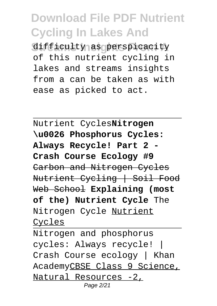**Streams Insights From A** difficulty as perspicacity of this nutrient cycling in lakes and streams insights from a can be taken as with ease as picked to act.

Nutrient Cycles**Nitrogen \u0026 Phosphorus Cycles: Always Recycle! Part 2 - Crash Course Ecology #9** Carbon and Nitrogen Cycles Nutrient Cycling | Soil Food Web School **Explaining (most of the) Nutrient Cycle** The Nitrogen Cycle Nutrient Cycles

Nitrogen and phosphorus cycles: Always recycle! | Crash Course ecology | Khan AcademyCBSE Class 9 Science, Natural Resources -2, Page 2/21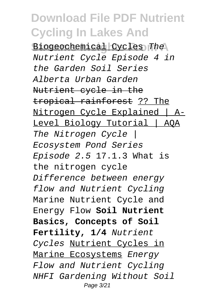Biogeochemical Cycles The Nutrient Cycle Episode 4 in the Garden Soil Series Alberta Urban Garden Nutrient cycle in the tropical rainforest ?? The Nitrogen Cycle Explained | A-Level Biology Tutorial | AQA The Nitrogen Cycle | Ecosystem Pond Series Episode 2.5 17.1.3 What is the nitrogen cycle Difference between energy flow and Nutrient Cycling Marine Nutrient Cycle and Energy Flow **Soil Nutrient Basics, Concepts of Soil Fertility, 1/4** Nutrient Cycles Nutrient Cycles in Marine Ecosystems Energy Flow and Nutrient Cycling NHFI Gardening Without Soil Page 3/21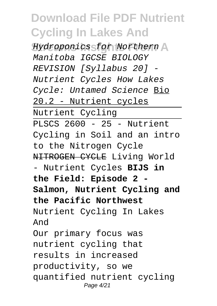**Streams Insights From A** Hydroponics for Northern Manitoba IGCSE BIOLOGY REVISION [Syllabus 20] - Nutrient Cycles How Lakes Cycle: Untamed Science Bio 20.2 - Nutrient cycles Nutrient Cycling PLSCS  $2600 - 25 -$  Nutrient Cycling in Soil and an intro to the Nitrogen Cycle NITROGEN CYCLE Living World - Nutrient Cycles **BIJS in the Field: Episode 2 - Salmon, Nutrient Cycling and the Pacific Northwest** Nutrient Cycling In Lakes And Our primary focus was nutrient cycling that results in increased productivity, so we quantified nutrient cycling Page 4/21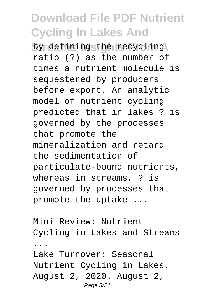by defining the recycling ratio (?) as the number of times a nutrient molecule is sequestered by producers before export. An analytic model of nutrient cycling predicted that in lakes ? is governed by the processes that promote the mineralization and retard the sedimentation of particulate-bound nutrients, whereas in streams, ? is governed by processes that promote the uptake ...

Mini-Review: Nutrient Cycling in Lakes and Streams ... Lake Turnover: Seasonal Nutrient Cycling in Lakes. August 2, 2020. August 2, Page 5/21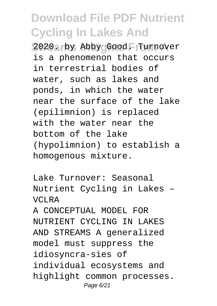2020. by Abby Good. Turnover is a phenomenon that occurs in terrestrial bodies of water, such as lakes and ponds, in which the water near the surface of the lake (epilimnion) is replaced with the water near the bottom of the lake (hypolimnion) to establish a homogenous mixture.

Lake Turnover: Seasonal Nutrient Cycling in Lakes – VCLRA

A CONCEPTUAL MODEL FOR NUTRIENT CYCLING IN LAKES AND STREAMS A generalized model must suppress the idiosyncra-sies of individual ecosystems and highlight common processes. Page 6/21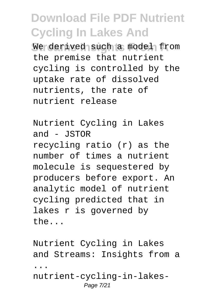We derived such a model from the premise that nutrient cycling is controlled by the uptake rate of dissolved nutrients, the rate of nutrient release

Nutrient Cycling in Lakes and  $-$  JSTOR recycling ratio (r) as the number of times a nutrient molecule is sequestered by producers before export. An analytic model of nutrient cycling predicted that in lakes r is governed by the...

Nutrient Cycling in Lakes and Streams: Insights from a ... nutrient-cycling-in-lakes-Page 7/21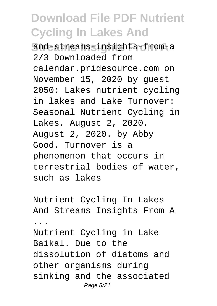**Streams Insights From A** and-streams-insights-from-a 2/3 Downloaded from calendar.pridesource.com on November 15, 2020 by guest 2050: Lakes nutrient cycling in lakes and Lake Turnover: Seasonal Nutrient Cycling in Lakes. August 2, 2020. August 2, 2020. by Abby Good. Turnover is a phenomenon that occurs in terrestrial bodies of water, such as lakes

Nutrient Cycling In Lakes And Streams Insights From A ... Nutrient Cycling in Lake Baikal. Due to the dissolution of diatoms and

other organisms during sinking and the associated Page 8/21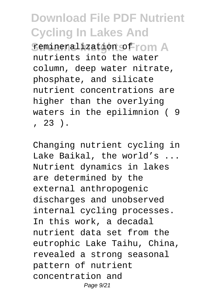**Semineralization of rom A** nutrients into the water column, deep water nitrate, phosphate, and silicate nutrient concentrations are higher than the overlying waters in the epilimnion ( 9  $, 23$  ).

Changing nutrient cycling in Lake Baikal, the world's ... Nutrient dynamics in lakes are determined by the external anthropogenic discharges and unobserved internal cycling processes. In this work, a decadal nutrient data set from the eutrophic Lake Taihu, China, revealed a strong seasonal pattern of nutrient concentration and Page 9/21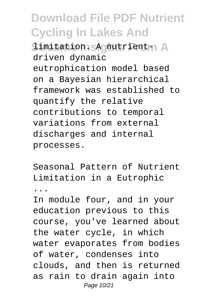Simitation. **A** nutrient- A driven dynamic eutrophication model based on a Bayesian hierarchical framework was established to quantify the relative contributions to temporal variations from external discharges and internal processes.

Seasonal Pattern of Nutrient Limitation in a Eutrophic

...

In module four, and in your education previous to this course, you've learned about the water cycle, in which water evaporates from bodies of water, condenses into clouds, and then is returned as rain to drain again into Page 10/21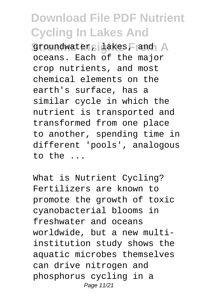**Groundwater, lakes, and A** oceans. Each of the major crop nutrients, and most chemical elements on the earth's surface, has a similar cycle in which the nutrient is transported and transformed from one place to another, spending time in different 'pools', analogous to the ...

What is Nutrient Cycling? Fertilizers are known to promote the growth of toxic cyanobacterial blooms in freshwater and oceans worldwide, but a new multiinstitution study shows the aquatic microbes themselves can drive nitrogen and phosphorus cycling in a Page 11/21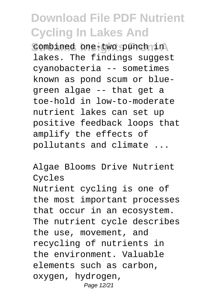combined one-two punch in lakes. The findings suggest cyanobacteria -- sometimes known as pond scum or bluegreen algae -- that get a toe-hold in low-to-moderate nutrient lakes can set up positive feedback loops that amplify the effects of pollutants and climate ...

Algae Blooms Drive Nutrient Cycles Nutrient cycling is one of the most important processes that occur in an ecosystem. The nutrient cycle describes the use, movement, and recycling of nutrients in the environment. Valuable elements such as carbon, oxygen, hydrogen, Page 12/21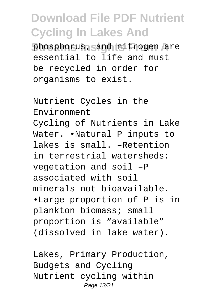phosphorus, and nitrogen are essential to life and must be recycled in order for organisms to exist.

Nutrient Cycles in the Environment Cycling of Nutrients in Lake Water. •Natural P inputs to lakes is small. –Retention in terrestrial watersheds: vegetation and soil –P associated with soil minerals not bioavailable. •Large proportion of P is in plankton biomass; small proportion is "available" (dissolved in lake water).

Lakes, Primary Production, Budgets and Cycling Nutrient cycling within Page 13/21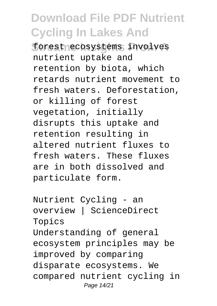forestnecosystems involves nutrient uptake and retention by biota, which retards nutrient movement to fresh waters. Deforestation, or killing of forest vegetation, initially disrupts this uptake and retention resulting in altered nutrient fluxes to fresh waters. These fluxes are in both dissolved and particulate form.

Nutrient Cycling - an overview | ScienceDirect Topics Understanding of general ecosystem principles may be improved by comparing disparate ecosystems. We compared nutrient cycling in Page 14/21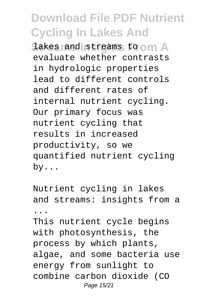**Stakes rand streams to om A** evaluate whether contrasts in hydrologic properties lead to different controls and different rates of internal nutrient cycling. Our primary focus was nutrient cycling that results in increased productivity, so we quantified nutrient cycling by...

Nutrient cycling in lakes and streams: insights from a ... This nutrient cycle begins with photosynthesis, the process by which plants, algae, and some bacteria use energy from sunlight to combine carbon dioxide (CO Page 15/21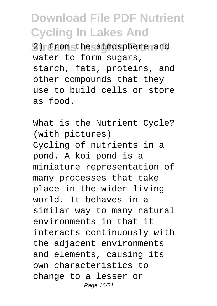**Streams Insights From A** 2) from the atmosphere and water to form sugars, starch, fats, proteins, and other compounds that they use to build cells or store as food.

What is the Nutrient Cycle? (with pictures) Cycling of nutrients in a pond. A koi pond is a miniature representation of many processes that take place in the wider living world. It behaves in a similar way to many natural environments in that it interacts continuously with the adjacent environments and elements, causing its own characteristics to change to a lesser or Page 16/21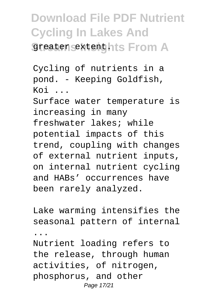#### **Download File PDF Nutrient Cycling In Lakes And Greater sextenthts From A**

Cycling of nutrients in a pond. - Keeping Goldfish,  $K \cap i$ Surface water temperature is increasing in many freshwater lakes; while potential impacts of this trend, coupling with changes of external nutrient inputs, on internal nutrient cycling and HABs' occurrences have been rarely analyzed.

Lake warming intensifies the seasonal pattern of internal ...

Nutrient loading refers to the release, through human activities, of nitrogen, phosphorus, and other Page 17/21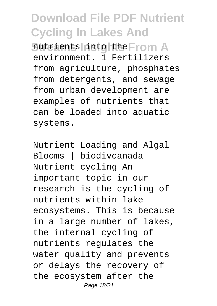$\frac{1}{2}$  nutrients into the From A environment. 1 Fertilizers from agriculture, phosphates from detergents, and sewage from urban development are examples of nutrients that can be loaded into aquatic systems.

Nutrient Loading and Algal Blooms | biodivcanada Nutrient cycling An important topic in our research is the cycling of nutrients within lake ecosystems. This is because in a large number of lakes, the internal cycling of nutrients regulates the water quality and prevents or delays the recovery of the ecosystem after the Page 18/21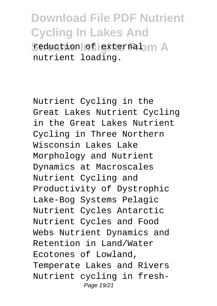**Feduction of external m A** nutrient loading.

Nutrient Cycling in the Great Lakes Nutrient Cycling in the Great Lakes Nutrient Cycling in Three Northern Wisconsin Lakes Lake Morphology and Nutrient Dynamics at Macroscales Nutrient Cycling and Productivity of Dystrophic Lake-Bog Systems Pelagic Nutrient Cycles Antarctic Nutrient Cycles and Food Webs Nutrient Dynamics and Retention in Land/Water Ecotones of Lowland, Temperate Lakes and Rivers Nutrient cycling in fresh-Page 19/21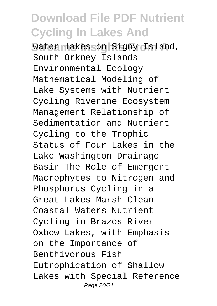water lakes on Signy Island, South Orkney Islands Environmental Ecology Mathematical Modeling of Lake Systems with Nutrient Cycling Riverine Ecosystem Management Relationship of Sedimentation and Nutrient Cycling to the Trophic Status of Four Lakes in the Lake Washington Drainage Basin The Role of Emergent Macrophytes to Nitrogen and Phosphorus Cycling in a Great Lakes Marsh Clean Coastal Waters Nutrient Cycling in Brazos River Oxbow Lakes, with Emphasis on the Importance of Benthivorous Fish Eutrophication of Shallow Lakes with Special Reference Page 20/21